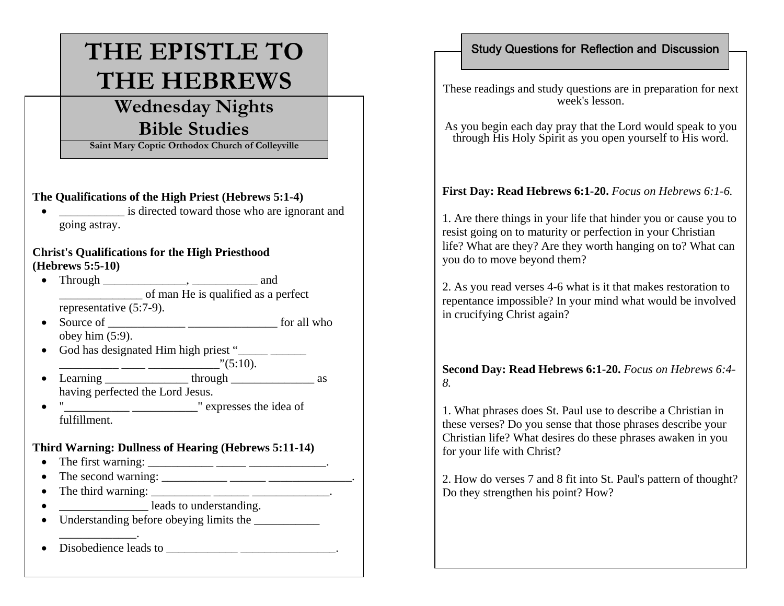# **THE EPISTLE TO THE HEBREWS**

# **Wednesday Nights Bible Studies**

**Saint Mary Coptic Orthodox Church of Colleyville**

#### **The Qualifications of the High Priest (Hebrews 5:1-4)**

• is directed toward those who are ignorant and going astray.

#### **Christ's Qualifications for the High Priesthood (Hebrews 5:5-10)**

- Through \_\_\_\_\_\_\_\_\_\_\_\_\_\_, \_\_\_\_\_\_\_\_\_\_\_ and  $\overline{\text{of man He is qualified as a perfect}}$ representative (5:7-9).
- Source of \_\_\_\_\_\_\_\_\_\_\_\_\_ \_\_\_\_\_\_\_\_\_\_\_\_\_\_\_ for all who obey him  $(5:9)$ .
- God has designated Him high priest "  $\frac{\cdots}{\cdots} \frac{\cdots}{\cdots} \frac{\cdots}{\cdots}$  (5:10).
- Learning  $\frac{\frac{1}{2}}{\frac{1}{2}}$  through  $\frac{1}{2}$  as having perfected the Lord Jesus.
- $\bullet$  " $\_\_\_\_\_\_\_\_\_\_\_\_\_\_\_\_$ " expresses the idea of fulfillment.

#### **Third Warning: Dullness of Hearing (Hebrews 5:11-14)**

- The first warning: \_\_\_\_\_\_\_\_\_\_\_\_\_\_\_\_\_\_\_\_\_\_\_\_\_\_\_\_\_\_\_\_\_.
- The second warning: \_\_\_\_\_\_\_\_\_\_\_ \_\_\_\_\_\_ \_\_\_\_\_\_\_\_\_\_\_\_\_\_.
- The third warning: \_\_\_\_\_\_\_\_\_\_\_\_\_\_\_\_\_\_\_\_\_\_\_\_\_\_\_\_\_\_\_\_.
- $\bullet$ \_\_\_\_\_\_\_\_\_\_\_\_\_\_\_ leads to understanding.
- Understanding before obeying limits the
- \_\_\_\_\_\_\_\_\_\_\_\_\_. • Disobedience leads to \_\_\_\_\_\_\_\_\_\_\_\_\_\_\_\_\_\_\_\_\_\_\_\_\_\_\_\_\_.

### Study Questions for Reflection and Discussion

These readings and study questions are in preparation for next week's lesson.

As you begin each day pray that the Lord would speak to you through His Holy Spirit as you open yourself to His word.

## **First Day: Read Hebrews 6:1-20.** *Focus on Hebrews 6:1-6.*

1. Are there things in your life that hinder you or cause you to resist going on to maturity or perfection in your Christian life? What are they? Are they worth hanging on to? What can you do to move beyond them?

2. As you read verses 4-6 what is it that makes restoration to repentance impossible? In your mind what would be involved in crucifying Christ again?

#### **Second Day: Read Hebrews 6:1-20.** *Focus on Hebrews 6:4- 8.*

1. What phrases does St. Paul use to describe a Christian in these verses? Do you sense that those phrases describe your Christian life? What desires do these phrases awaken in you for your life with Christ?

2. How do verses 7 and 8 fit into St. Paul's pattern of thought? Do they strengthen his point? How?